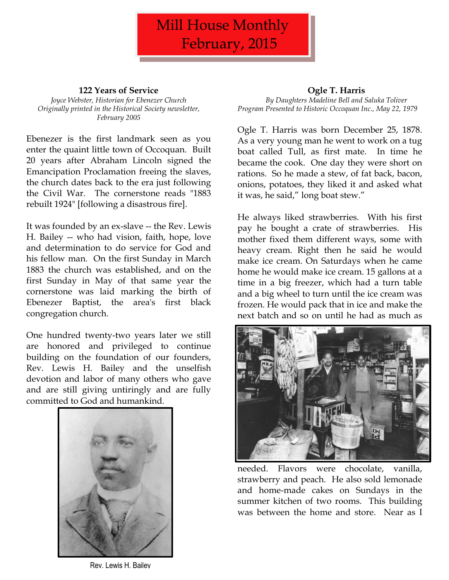

## **122 Years of Service**

*Joyce Webster, Historian for Ebenezer Church Originally printed in the Historical Society newsletter, February 2005*

Ebenezer is the first landmark seen as you enter the quaint little town of Occoquan. Built 20 years after Abraham Lincoln signed the Emancipation Proclamation freeing the slaves, the church dates back to the era just following the Civil War. The cornerstone reads "1883 rebuilt 1924" [following a disastrous fire].

It was founded by an ex-slave -- the Rev. Lewis H. Bailey -- who had vision, faith, hope, love and determination to do service for God and his fellow man. On the first Sunday in March 1883 the church was established, and on the first Sunday in May of that same year the cornerstone was laid marking the birth of Ebenezer Baptist, the area's first black congregation church.

One hundred twenty-two years later we still are honored and privileged to continue building on the foundation of our founders, Rev. Lewis H. Bailey and the unselfish devotion and labor of many others who gave and are still giving untiringly and are fully committed to God and humankind.



Rev. Lewis H. Bailey

# **Ogle T. Harris**

*By Daughters Madeline Bell and Saluka Toliver Program Presented to Historic Occoquan Inc., May 22, 1979*

Ogle T. Harris was born December 25, 1878. As a very young man he went to work on a tug boat called Tull, as first mate. In time he became the cook. One day they were short on rations. So he made a stew, of fat back, bacon, onions, potatoes, they liked it and asked what it was, he said," long boat stew."

He always liked strawberries. With his first pay he bought a crate of strawberries. His mother fixed them different ways, some with heavy cream. Right then he said he would make ice cream. On Saturdays when he came home he would make ice cream. 15 gallons at a time in a big freezer, which had a turn table and a big wheel to turn until the ice cream was frozen. He would pack that in ice and make the next batch and so on until he had as much as



needed. Flavors were chocolate, vanilla, strawberry and peach. He also sold lemonade and home-made cakes on Sundays in the summer kitchen of two rooms. This building was between the home and store. Near as I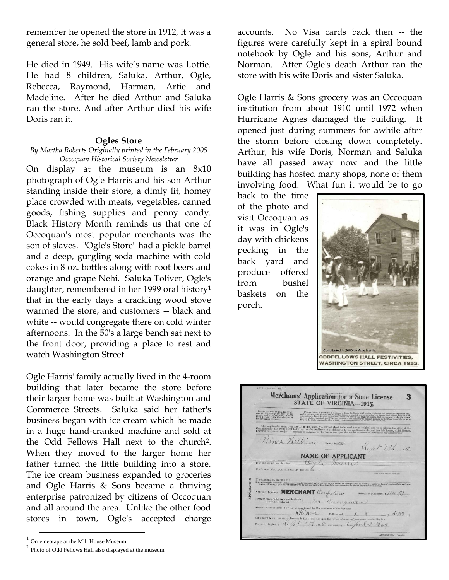remember he opened the store in 1912, it was a general store, he sold beef, lamb and pork.

He died in 1949. His wife's name was Lottie. He had 8 children, Saluka, Arthur, Ogle, Rebecca, Raymond, Harman, Artie and Madeline. After he died Arthur and Saluka ran the store. And after Arthur died his wife Doris ran it.

## **Ogles Store**

### *By Martha Roberts Originally printed in the February 2005 Occoquan Historical Society Newsletter*

On display at the museum is an 8x10 photograph of Ogle Harris and his son Arthur standing inside their store, a dimly lit, homey place crowded with meats, vegetables, canned goods, fishing supplies and penny candy. Black History Month reminds us that one of Occoquan's most popular merchants was the son of slaves. "Ogle's Store" had a pickle barrel and a deep, gurgling soda machine with cold cokes in 8 oz. bottles along with root beers and orange and grape Nehi. Saluka Toliver, Ogle's daughter, remembered in her 1999 oral history<sup>1</sup> that in the early days a crackling wood stove warmed the store, and customers -- black and white -- would congregate there on cold winter afternoons. In the 50's a large bench sat next to the front door, providing a place to rest and watch Washington Street.

Ogle Harris' family actually lived in the 4-room building that later became the store before their larger home was built at Washington and Commerce Streets. Saluka said her father's business began with ice cream which he made in a huge hand-cranked machine and sold at the Odd Fellows Hall next to the church2. When they moved to the larger home her father turned the little building into a store. The ice cream business expanded to groceries and Ogle Harris & Sons became a thriving enterprise patronized by citizens of Occoquan and all around the area. Unlike the other food stores in town, Ogle's accepted charge

 $\overline{\phantom{a}}$ 

accounts. No Visa cards back then -- the figures were carefully kept in a spiral bound notebook by Ogle and his sons, Arthur and Norman. After Ogle's death Arthur ran the store with his wife Doris and sister Saluka.

Ogle Harris & Sons grocery was an Occoquan institution from about 1910 until 1972 when Hurricane Agnes damaged the building. It opened just during summers for awhile after the storm before closing down completely. Arthur, his wife Doris, Norman and Saluka have all passed away now and the little building has hosted many shops, none of them involving food. What fun it would be to go

back to the time of the photo and visit Occoquan as it was in Ogle's day with chickens pecking in the back yard and produce offered from bushel baskets on the porch.



Merchants' Application for a State License<br>STATE OF VIRGINIA---1918 3 This application must be made out in duplicate, the colored abset to be used as the original and to be filed in the office of the contributioner; the white sheet to be used as the original and to be filed in the office of Rines William County Corces. Sent-7th 1018 **NAME OF APPLICANT** Ogle. Harris Nature of business. MERCHANT Confection Definite place or house where business )<br>is to be conducted<br>Amount of tex measured by the conducted Amount of tax prescribed by law as aggregatized by Commissioner of the Revenue  $\chi$  exists  $\chi$  cents (§ 5  $5\%$ ) out analyset to an increase or decrease in the license tax upon the review of report of purchases required For period beginning  $\sqrt{\frac{1}{\sqrt{1-\frac{1}{\sqrt{1}}}}$ , 1918. and expiring *CChai*l 30  $\frac{1}{\sqrt{1}}$ , 1919.

<sup>1</sup> On videotape at the Mill House Museum

 $2$  Photo of Odd Fellows Hall also displayed at the museum